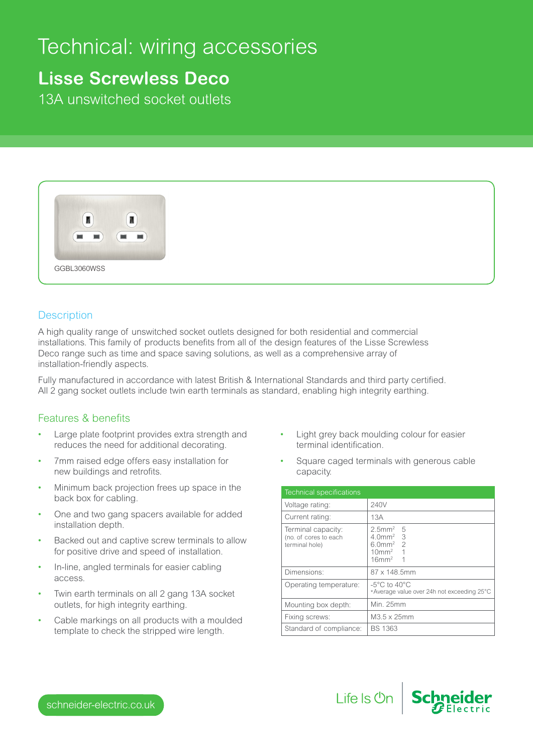# Technical: wiring accessories

## **Lisse Screwless Deco**

13A unswitched socket outlets



#### **Description**

A high quality range of unswitched socket outlets designed for both residential and commercial installations. This family of products benefits from all of the design features of the Lisse Screwless Deco range such as time and space saving solutions, as well as a comprehensive array of installation-friendly aspects.

Fully manufactured in accordance with latest British & International Standards and third party certified. All 2 gang socket outlets include twin earth terminals as standard, enabling high integrity earthing.

### Features & benefits

- Large plate footprint provides extra strength and reduces the need for additional decorating.
- 7mm raised edge offers easy installation for new buildings and retrofits.
- Minimum back projection frees up space in the back box for cabling.
- One and two gang spacers available for added installation depth.
- Backed out and captive screw terminals to allow for positive drive and speed of installation.
- In-line, angled terminals for easier cabling access.
- Twin earth terminals on all 2 gang 13A socket outlets, for high integrity earthing.
- Cable markings on all products with a moulded template to check the stripped wire length.
- Light grey back moulding colour for easier terminal identification.
- Square caged terminals with generous cable capacity.

| <b>Technical specifications</b>                               |                                                                                                                    |
|---------------------------------------------------------------|--------------------------------------------------------------------------------------------------------------------|
| Voltage rating:                                               | 240V                                                                                                               |
| Current rating:                                               | 13A                                                                                                                |
| Terminal capacity:<br>(no. of cores to each<br>terminal hole) | $2.5$ mm <sup>2</sup> 5<br>$4.0$ mm <sup>2</sup> 3<br>$6.0$ mm <sup>2</sup> 2<br>$10mm2$ 1<br>$16$ mm <sup>2</sup> |
| Dimensions:                                                   | $87 \times 148.5$ mm                                                                                               |
| Operating temperature:                                        | $-5^{\circ}$ C to 40 $^{\circ}$ C<br>*Average value over 24h not exceeding 25°C                                    |
| Mounting box depth:                                           | Min. 25mm                                                                                                          |
| Fixing screws:                                                | M3.5 x 25mm                                                                                                        |
| Standard of compliance:                                       | <b>BS 1363</b>                                                                                                     |